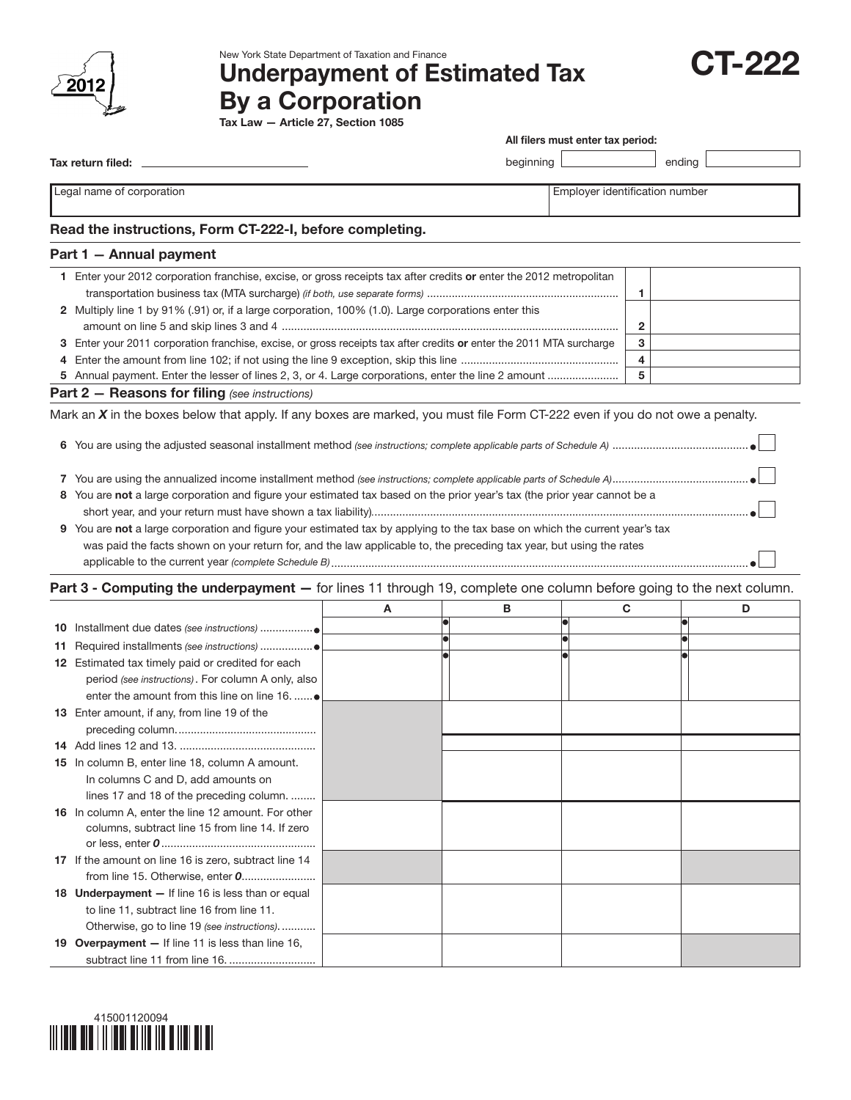

New York State Department of Taxation and Finance

# Underpayment of Estimated Tax By a Corporation



Tax return filed:

| All filers must enter tax period: |  |
|-----------------------------------|--|
|-----------------------------------|--|

 $beginingright$  ending ending

Legal name of corporation extensive properties of the corporation  $\Box$  Employer identification number

### Read the instructions, Form CT-222-I, before completing.

#### Part 1 — Annual payment

| Enter your 2012 corporation franchise, excise, or gross receipts tax after credits or enter the 2012 metropolitan    |  |
|----------------------------------------------------------------------------------------------------------------------|--|
|                                                                                                                      |  |
| 2 Multiply line 1 by 91% (.91) or, if a large corporation, 100% (1.0). Large corporations enter this                 |  |
|                                                                                                                      |  |
| 3 Enter your 2011 corporation franchise, excise, or gross receipts tax after credits or enter the 2011 MTA surcharge |  |
|                                                                                                                      |  |
|                                                                                                                      |  |
| $\mathbf{D}$ aut $\mathbf{D}$ $\mathbf{D}$ and $\mathbf{D}$ and $\mathbf{L}$ is the set of $\mathbf{D}$              |  |

Part 2 — Reasons for filing *(see instructions)*

Mark an *X* in the boxes below that apply. If any boxes are marked, you must file Form CT-222 even if you do not owe a penalty.

6 You are using the adjusted seasonal installment method *(see instructions; complete applicable parts of Schedule A)* ............................................

|--|--|--|

- 8 You are not a large corporation and figure your estimated tax based on the prior year's tax (the prior year cannot be a short year, and your return must have shown a tax liability)*.*.........................................................................................................................
- 9 You are not a large corporation and figure your estimated tax by applying to the tax base on which the current year's tax was paid the facts shown on your return for, and the law applicable to, the preceding tax year, but using the rates applicable to the current year *(complete Schedule B)*.......................................................................................................................................

#### Part 3 - Computing the underpayment - for lines 11 through 19, complete one column before going to the next column.

|    |                                                       | A | в | C | D |
|----|-------------------------------------------------------|---|---|---|---|
| 10 |                                                       |   |   |   |   |
|    |                                                       |   |   |   |   |
|    | 12 Estimated tax timely paid or credited for each     |   |   |   |   |
|    | period (see instructions). For column A only, also    |   |   |   |   |
|    | enter the amount from this line on line 16.           |   |   |   |   |
|    | 13 Enter amount, if any, from line 19 of the          |   |   |   |   |
|    |                                                       |   |   |   |   |
|    |                                                       |   |   |   |   |
|    | 15 In column B, enter line 18, column A amount.       |   |   |   |   |
|    | In columns C and D, add amounts on                    |   |   |   |   |
|    | lines 17 and 18 of the preceding column.              |   |   |   |   |
|    | 16 In column A, enter the line 12 amount. For other   |   |   |   |   |
|    | columns, subtract line 15 from line 14. If zero       |   |   |   |   |
|    |                                                       |   |   |   |   |
|    | 17 If the amount on line 16 is zero, subtract line 14 |   |   |   |   |
|    |                                                       |   |   |   |   |
|    | 18 Underpayment - If line 16 is less than or equal    |   |   |   |   |
|    | to line 11, subtract line 16 from line 11.            |   |   |   |   |
|    | Otherwise, go to line 19 (see instructions).          |   |   |   |   |
|    | 19 Overpayment - If line 11 is less than line 16,     |   |   |   |   |
|    |                                                       |   |   |   |   |

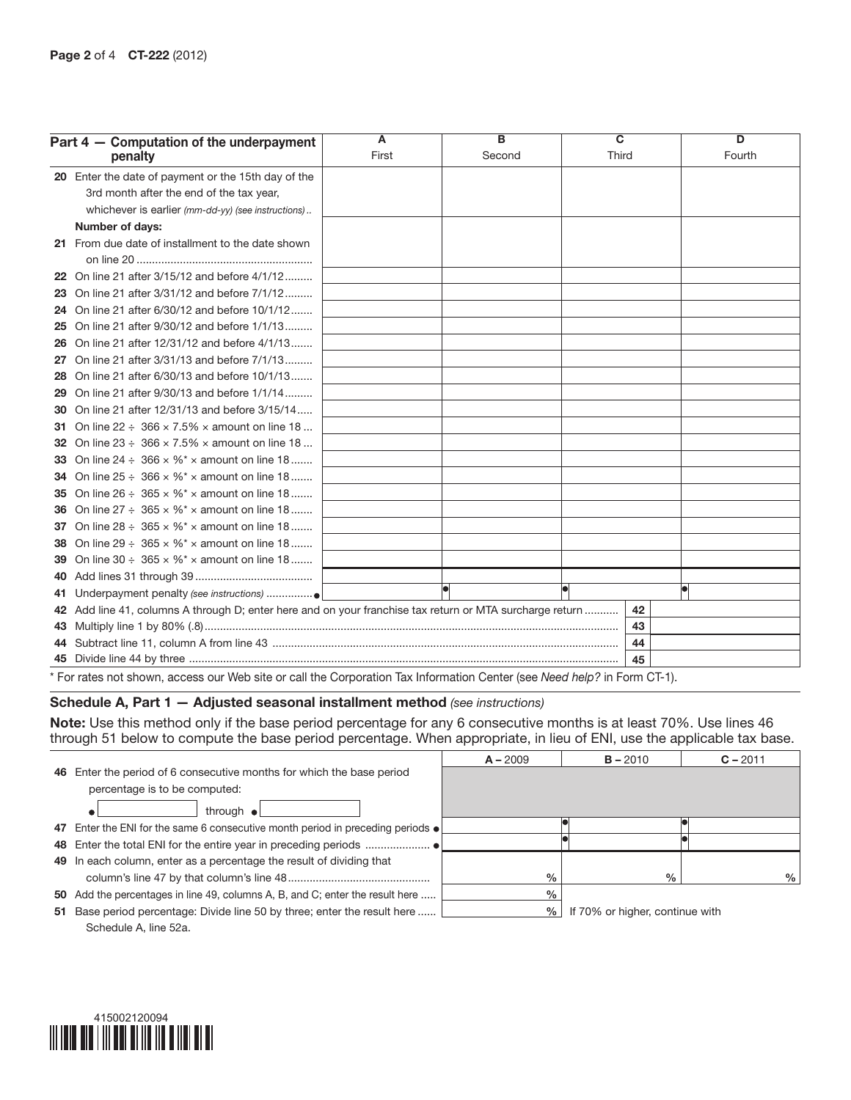| Part 4 - Computation of the underpayment                                                                                 | $\overline{A}$ | $\overline{B}$ | $\overline{\mathbf{c}}$ |    | D      |  |  |
|--------------------------------------------------------------------------------------------------------------------------|----------------|----------------|-------------------------|----|--------|--|--|
| penalty                                                                                                                  | First          | Second         | Third                   |    | Fourth |  |  |
| 20 Enter the date of payment or the 15th day of the                                                                      |                |                |                         |    |        |  |  |
| 3rd month after the end of the tax year,                                                                                 |                |                |                         |    |        |  |  |
| whichever is earlier (mm-dd-yy) (see instructions)                                                                       |                |                |                         |    |        |  |  |
| Number of days:                                                                                                          |                |                |                         |    |        |  |  |
| 21 From due date of installment to the date shown                                                                        |                |                |                         |    |        |  |  |
|                                                                                                                          |                |                |                         |    |        |  |  |
| 22 On line 21 after 3/15/12 and before 4/1/12                                                                            |                |                |                         |    |        |  |  |
| 23 On line 21 after 3/31/12 and before 7/1/12                                                                            |                |                |                         |    |        |  |  |
| 24 On line 21 after 6/30/12 and before 10/1/12                                                                           |                |                |                         |    |        |  |  |
| 25 On line 21 after 9/30/12 and before 1/1/13                                                                            |                |                |                         |    |        |  |  |
| 26 On line 21 after 12/31/12 and before 4/1/13                                                                           |                |                |                         |    |        |  |  |
| 27 On line 21 after 3/31/13 and before 7/1/13                                                                            |                |                |                         |    |        |  |  |
| 28 On line 21 after 6/30/13 and before 10/1/13                                                                           |                |                |                         |    |        |  |  |
| 29 On line 21 after 9/30/13 and before 1/1/14                                                                            |                |                |                         |    |        |  |  |
| <b>30</b> On line 21 after 12/31/13 and before 3/15/14                                                                   |                |                |                         |    |        |  |  |
| <b>31</b> On line 22 $\div$ 366 $\times$ 7.5% $\times$ amount on line 18                                                 |                |                |                         |    |        |  |  |
| <b>32</b> On line $23 \div 366 \times 7.5\% \times$ amount on line 18                                                    |                |                |                         |    |        |  |  |
| <b>33</b> On line $24 \div 366 \times \%$ * x amount on line 18                                                          |                |                |                         |    |        |  |  |
| <b>34</b> On line $25 \div 366 \times \%$ $\times$ amount on line 18                                                     |                |                |                         |    |        |  |  |
| <b>35</b> On line $26 \div 365 \times \%$ * x amount on line 18                                                          |                |                |                         |    |        |  |  |
| <b>36</b> On line $27 \div 365 \times \%$ * x amount on line 18                                                          |                |                |                         |    |        |  |  |
| <b>37</b> On line 28 $\div$ 365 $\times$ %* $\times$ amount on line 18                                                   |                |                |                         |    |        |  |  |
| <b>38</b> On line 29 $\div$ 365 $\times$ %* $\times$ amount on line 18                                                   |                |                |                         |    |        |  |  |
| <b>39</b> On line 30 $\div$ 365 $\times$ % <sup>*</sup> $\times$ amount on line 18                                       |                |                |                         |    |        |  |  |
|                                                                                                                          |                |                |                         |    |        |  |  |
|                                                                                                                          |                |                |                         |    |        |  |  |
| 42 Add line 41, columns A through D; enter here and on your franchise tax return or MTA surcharge return                 |                |                |                         | 42 |        |  |  |
|                                                                                                                          |                |                |                         | 43 |        |  |  |
|                                                                                                                          |                |                |                         | 44 |        |  |  |
|                                                                                                                          |                |                |                         | 45 |        |  |  |
| * For rates not shown, access our Web site or call the Corporation Tax Information Center (see Need help? in Form CT-1). |                |                |                         |    |        |  |  |

#### Schedule A, Part 1 — Adjusted seasonal installment method *(see instructions)*

Note: Use this method only if the base period percentage for any 6 consecutive months is at least 70%. Use lines 46 through 51 below to compute the base period percentage. When appropriate, in lieu of ENI, use the applicable tax base.

|    |                                                                                         | $A - 2009$ | $B - 2010$                      | $C - 2011$ |
|----|-----------------------------------------------------------------------------------------|------------|---------------------------------|------------|
|    | 46 Enter the period of 6 consecutive months for which the base period                   |            |                                 |            |
|    | percentage is to be computed:                                                           |            |                                 |            |
|    | through $\bullet$                                                                       |            |                                 |            |
|    | 47 Enter the ENI for the same 6 consecutive month period in preceding periods $\bullet$ |            |                                 |            |
|    |                                                                                         |            |                                 |            |
|    | 49 In each column, enter as a percentage the result of dividing that                    |            |                                 |            |
|    |                                                                                         | $\%$       | $\%$                            | $\%$       |
|    | 50 Add the percentages in line 49, columns A, B, and C; enter the result here           | $\%$       |                                 |            |
| 51 | Base period percentage: Divide line 50 by three; enter the result here                  | %          | If 70% or higher, continue with |            |
|    | Schedule A, line 52a.                                                                   |            |                                 |            |

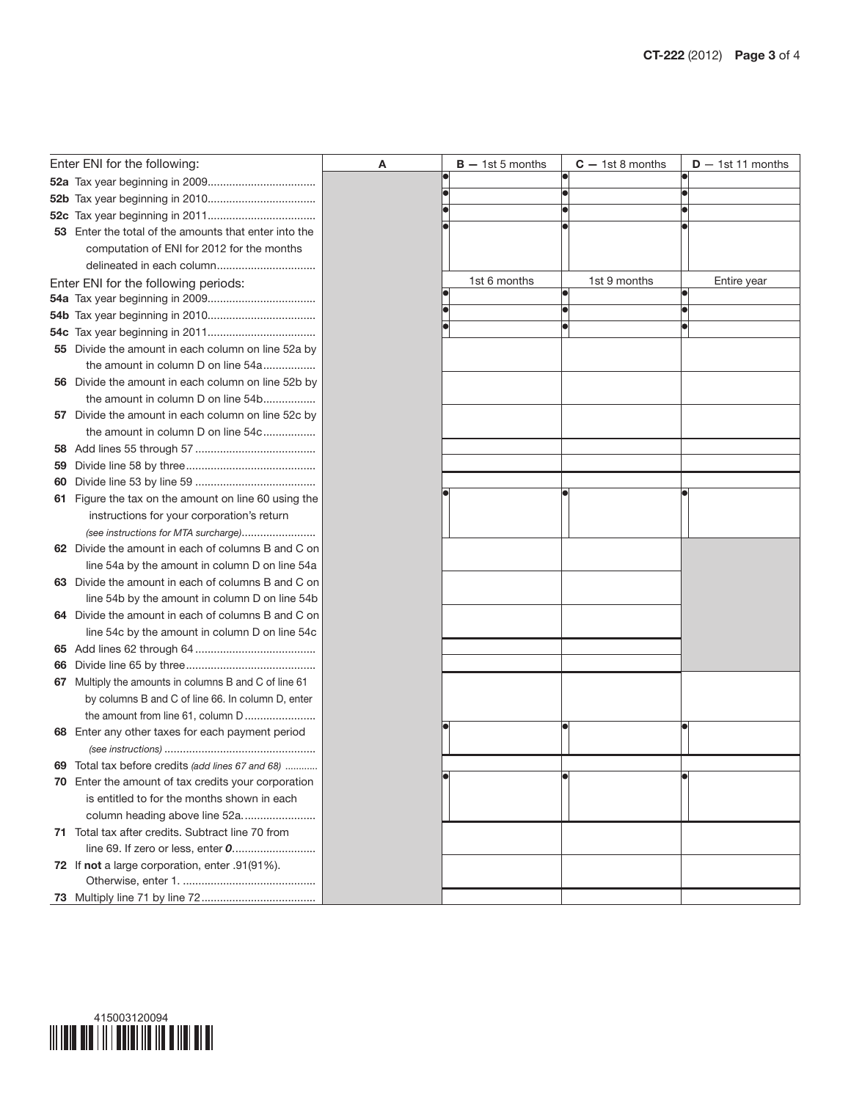|    | Enter ENI for the following:                                                          | Α | $B - 1st 5$ months | $C - 1st 8$ months | $D - 1st 11$ months |
|----|---------------------------------------------------------------------------------------|---|--------------------|--------------------|---------------------|
|    |                                                                                       |   |                    |                    |                     |
|    |                                                                                       |   |                    |                    |                     |
|    |                                                                                       |   |                    |                    |                     |
|    | 53 Enter the total of the amounts that enter into the                                 |   |                    |                    |                     |
|    | computation of ENI for 2012 for the months                                            |   |                    |                    |                     |
|    | delineated in each column                                                             |   |                    |                    |                     |
|    | Enter ENI for the following periods:                                                  |   | 1st 6 months       | 1st 9 months       | Entire year         |
|    |                                                                                       |   |                    |                    |                     |
|    |                                                                                       |   |                    |                    |                     |
|    |                                                                                       |   |                    |                    |                     |
|    | 55 Divide the amount in each column on line 52a by                                    |   |                    |                    |                     |
|    | the amount in column D on line 54a                                                    |   |                    |                    |                     |
|    | 56 Divide the amount in each column on line 52b by                                    |   |                    |                    |                     |
|    | the amount in column D on line 54b                                                    |   |                    |                    |                     |
|    | 57 Divide the amount in each column on line 52c by                                    |   |                    |                    |                     |
|    | the amount in column D on line 54c                                                    |   |                    |                    |                     |
|    |                                                                                       |   |                    |                    |                     |
| 59 |                                                                                       |   |                    |                    |                     |
| 60 |                                                                                       |   |                    |                    |                     |
|    | 61 Figure the tax on the amount on line 60 using the                                  |   |                    |                    |                     |
|    | instructions for your corporation's return                                            |   |                    |                    |                     |
|    | (see instructions for MTA surcharge)                                                  |   |                    |                    |                     |
|    | 62 Divide the amount in each of columns B and C on                                    |   |                    |                    |                     |
|    | line 54a by the amount in column D on line 54a                                        |   |                    |                    |                     |
|    | 63 Divide the amount in each of columns B and C on                                    |   |                    |                    |                     |
|    | line 54b by the amount in column D on line 54b                                        |   |                    |                    |                     |
|    | 64 Divide the amount in each of columns B and C on                                    |   |                    |                    |                     |
|    | line 54c by the amount in column D on line 54c                                        |   |                    |                    |                     |
|    |                                                                                       |   |                    |                    |                     |
| 66 |                                                                                       |   |                    |                    |                     |
|    | 67 Multiply the amounts in columns B and C of line 61                                 |   |                    |                    |                     |
|    | by columns B and C of line 66. In column D, enter                                     |   |                    |                    |                     |
|    | the amount from line 61, column D<br>68 Enter any other taxes for each payment period |   |                    |                    |                     |
|    |                                                                                       |   |                    |                    |                     |
|    | 69 Total tax before credits (add lines 67 and 68)                                     |   |                    |                    |                     |
|    | 70 Enter the amount of tax credits your corporation                                   |   |                    |                    |                     |
|    | is entitled to for the months shown in each                                           |   |                    |                    |                     |
|    | column heading above line 52a                                                         |   |                    |                    |                     |
|    | 71 Total tax after credits. Subtract line 70 from                                     |   |                    |                    |                     |
|    |                                                                                       |   |                    |                    |                     |
|    | 72 If not a large corporation, enter .91(91%).                                        |   |                    |                    |                     |
|    |                                                                                       |   |                    |                    |                     |
|    |                                                                                       |   |                    |                    |                     |